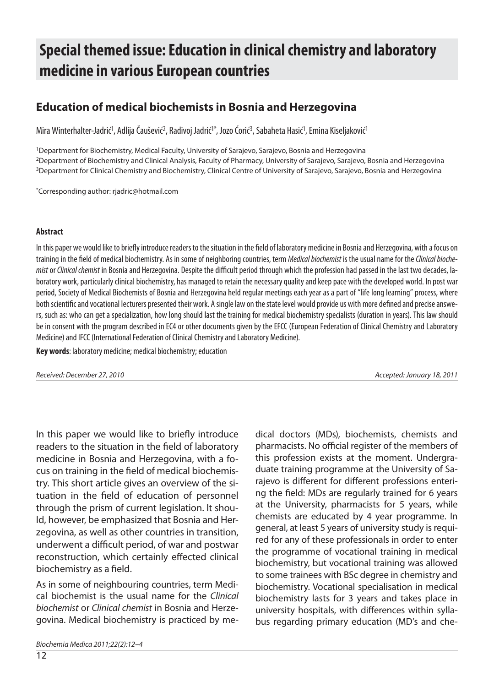# **Special themed issue: Education in clinical chemistry and laboratory me di ci ne in va rious Eu ro pean coun tries**

## **Education of medical biochemists in Bosnia and Herzegovina**

Mira Winterhalter-Jadrić<sup>1</sup>, Adlija Čaušević<sup>2</sup>, Radivoj Jadrić<sup>1\*</sup>, Jozo Ćorić<sup>3</sup>, Sabaheta Hasić<sup>1</sup>, Emina Kiseljaković<sup>1</sup>

<sup>1</sup>Department for Biochemistry, Medical Faculty, University of Sarajevo, Sarajevo, Bosnia and Herzegovina <sup>2</sup>Department of Biochemistry and Clinical Analysis, Faculty of Pharmacy, University of Sarajevo, Sarajevo, Bosnia and Herzegovina <sup>3</sup>Department for Clinical Chemistry and Biochemistry, Clinical Centre of University of Sarajevo, Sarajevo, Bosnia and Herzegovina

\* Cor res pon di ng aut hor: rjad ric @hot mail.com

#### **Ab stra ct**

In this paper we would like to briefly introduce readers to the situation in the field of laboratory medicine in Bosnia and Herzegovina, with a focus on training in the field of medical biochemistry. As in some of neighboring countries, term Medical biochemist is the usual name for the Clinical biochemist or Clinical chemist in Bosnia and Herzegovina. Despite the difficult period through which the profession had passed in the last two decades, laboratory work, particularly clinical biochemistry, has managed to retain the necessary quality and keep pace with the developed world. In post war period, Society of Medical Biochemists of Bosnia and Herzegovina held regular meetings each year as a part of "life long learning" process, where both scientific and vocational lecturers presented their work. A single law on the state level would provide us with more defined and precise answers, such as: who can get a specialization, how long should last the training for medical biochemistry specialists (duration in years). This law should be in consent with the program described in EC4 or other documents given by the EFCC (European Federation of Clinical Chemistry and Laboratory Medicine) and IFCC (International Federation of Clinical Chemistry and Laboratory Medicine).

**Key words:** laboratory medicine; medical biochemistry; education

Received: December 27, 2010 **Acceleration Controllering Controllering Controllering Controllering Controllering Controllering Accepted: January 18, 2011** 

In this paper we would like to briefly introduce readers to the situation in the field of laboratory medicine in Bosnia and Herzegovina, with a focus on training in the field of medical biochemistry. This short article gives an overview of the situation in the field of education of personnel through the prism of current legislation. It should, however, be emphasized that Bosnia and Herzegovina, as well as other countries in transition, underwent a difficult period, of war and postwar reconstruction, which certainly effected clinical biochemistry as a field.

As in some of neighbouring countries, term Medical biochemist is the usual name for the Clinical biochemist or Clinical chemist in Bosnia and Herzegovina. Medical biochemistry is practiced by me-

Biochemia Medica 2011;22(2):12–4

dical doctors (MDs), biochemists, chemists and pharmacists. No official register of the members of this profession exists at the moment. Undergraduate training programme at the University of Sarajevo is different for different professions entering the field: MDs are regularly trained for 6 years at the University, pharmacists for 5 years, while chemists are educated by 4 year programme. In general, at least 5 years of university study is required for any of these professionals in order to enter the programme of vocational training in medical biochemistry, but vocational training was allowed to some trainees with BSc degree in chemistry and biochemistry. Vocational specialisation in medical biochemistry lasts for 3 years and takes place in university hospitals, with differences within syllabus regarding primary education (MD's and che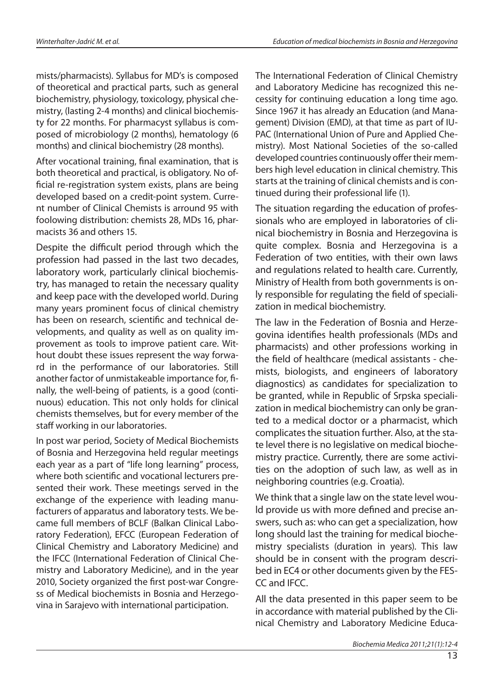mists/pharmacists). Syllabus for MD's is composed of theoretical and practical parts, such as general biochemistry, physiology, toxicology, physical chemistry, (lasting 2-4 months) and clinical biochemisty for 22 months. For pharmacyst syllabus is composed of microbiology (2 months), hematology (6 months) and clinical biochemistry (28 months).

After vocational training, final examination, that is both theoretical and practical, is obligatory. No official re-registration system exists, plans are being developed based on a credit-point system. Current number of Clinical Chemists is arround 95 with foolowing distribution: chemists 28, MDs 16, pharmacists 36 and others 15.

Despite the difficult period through which the profession had passed in the last two decades, laboratory work, particularly clinical biochemistry, has managed to retain the necessary quality and keep pace with the developed world. During many years prominent focus of clinical chemistry has been on research, scientific and technical developments, and quality as well as on quality improvement as tools to improve patient care. Without doubt these issues represent the way forward in the performance of our laboratories. Still another factor of unmistakeable importance for, finally, the well-being of patients, is a good (continuous) education. This not only holds for clinical chemists themselves, but for every member of the staff working in our laboratories.

In post war period, Society of Medical Biochemists of Bosnia and Herzegovina held regular meetings each year as a part of "life long learning" process, where both scientific and vocational lecturers presented their work. These meetings served in the exchange of the experience with leading manufacturers of apparatus and laboratory tests. We became full members of BCLF (Balkan Clinical Laboratory Federation), EFCC (European Federation of Clinical Chemistry and Laboratory Medicine) and the IFCC (International Federation of Clinical Chemistry and Laboratory Medicine), and in the year 2010, Society organized the first post-war Congress of Medical biochemists in Bosnia and Herzegovina in Sarajevo with international participation.

The International Federation of Clinical Chemistry and Laboratory Medicine has recognized this necessity for continuing education a long time ago. Since 1967 it has already an Education (and Management) Division (EMD), at that time as part of IU-PAC (International Union of Pure and Applied Chemistry). Most National Societies of the so-called developed countries continuously offer their members high level education in clinical chemistry. This starts at the training of clinical chemists and is continued during their professional life (1).

The situation regarding the education of professionals who are employed in laboratories of clinical biochemistry in Bosnia and Herzegovina is quite complex. Bosnia and Herzegovina is a Federation of two entities, with their own laws and regulations related to health care. Currently, Ministry of Health from both governments is only responsible for regulating the field of specialization in medical biochemistry.

The law in the Federation of Bosnia and Herzegovina identifies health professionals (MDs and pharmacists) and other professions working in the field of healthcare (medical assistants - chemists, biologists, and engineers of laboratory diagnostics) as candidates for specialization to be granted, while in Republic of Srpska specialization in medical biochemistry can only be granted to a medical doctor or a pharmacist, which complicates the situation further. Also, at the state level there is no legislative on medical biochemistry practice. Currently, there are some activities on the adoption of such law, as well as in neighboring countries (e.g. Croatia).

We think that a single law on the state level wou-Id provide us with more defined and precise answers, such as: who can get a specialization, how long should last the training for medical biochemistry specialists (duration in years). This law should be in consent with the program described in EC4 or other documents given by the FES-CC and IFCC.

All the data presented in this paper seem to be in accordance with material published by the Clinical Chemistry and Laboratory Medicine Educa